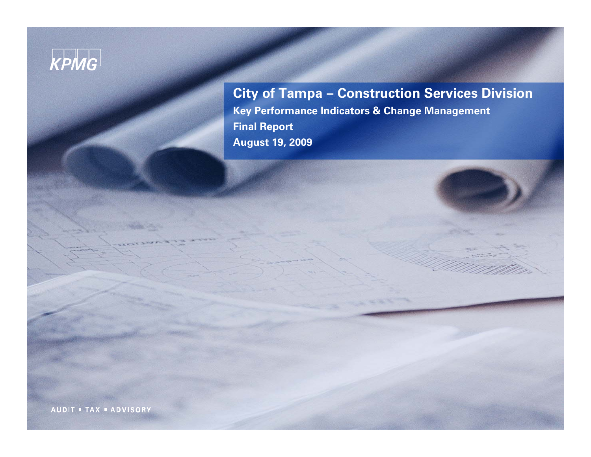# KPMG

**City of Tampa – Construction Services Division Key Performance Indicators & Change Management Final Report August 19, 2009** 

**AUDIT . TAX . ADVISORY**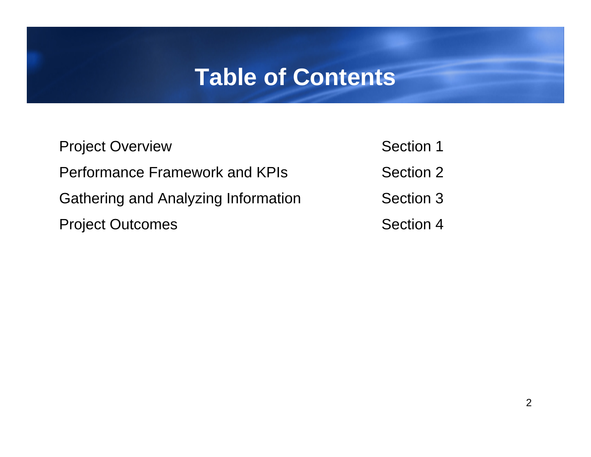## **Table of Contents**

| <b>Project Overview</b>                    | Section 1 |
|--------------------------------------------|-----------|
| <b>Performance Framework and KPIs</b>      | Section 2 |
| <b>Gathering and Analyzing Information</b> | Section 3 |
| <b>Project Outcomes</b>                    | Section 4 |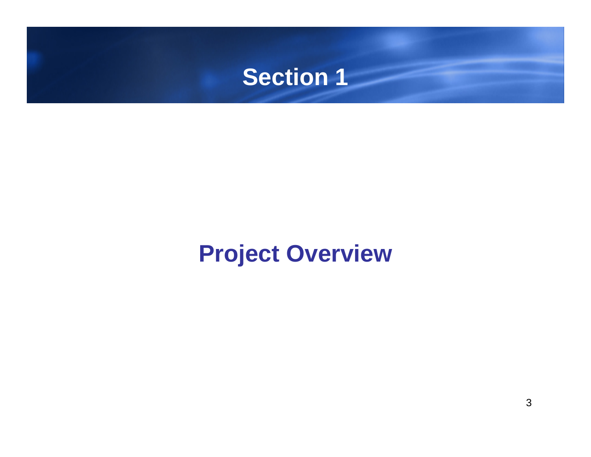<span id="page-2-0"></span>

# **Project Overview**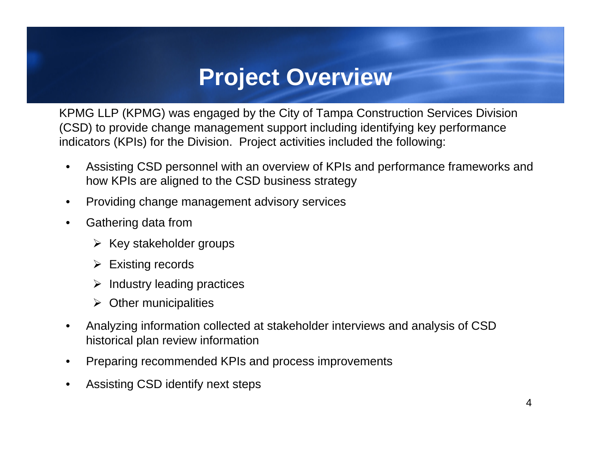#### **Project Overview**

<span id="page-3-0"></span>KPMG LLP (KPMG) was engaged by the City of Tampa Construction Services Division (CSD) to provide change management support including identifying key performance indicators (KPIs) for the Division. Project activities included the following:

- Assisting CSD personnel with an overview of KPIs and performance frameworks and how KPIs are aligned to the CSD business strategy
- Providing change management advisory services
- Gathering data from
	- $\triangleright$  Key stakeholder groups
	- $\triangleright$  Existing records
	- ¾Industry leading practices
	- $\triangleright$  Other municipalities
- Analyzing information collected at stakeholder interviews and analysis of CSD historical plan review information
- Preparing recommended KPIs and process improvements
- Assisting CSD identify next steps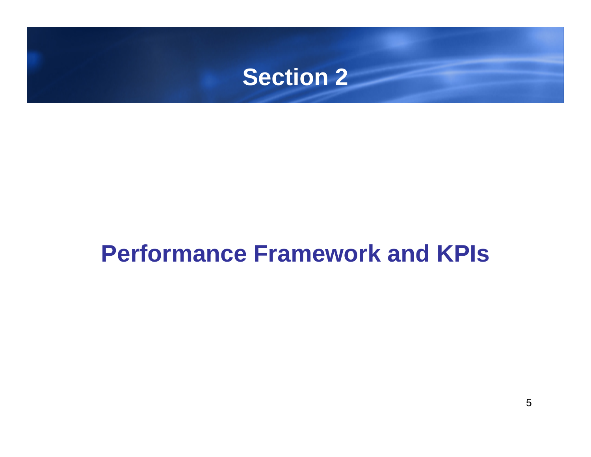

## **Performance Framework and KPIs**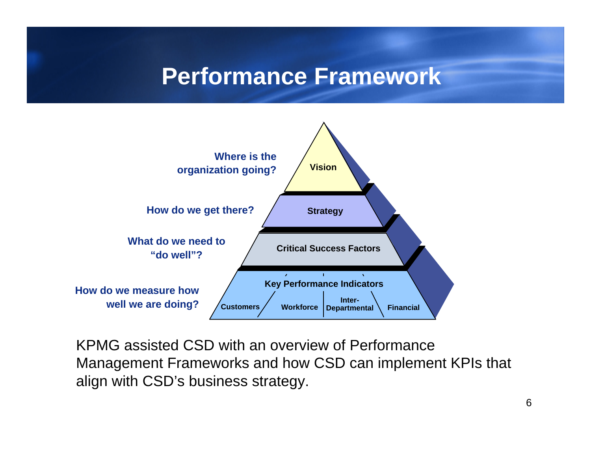#### **Performance Framework**



KPMG assisted CSD with an overview of Performance Management Frameworks and how CSD can implement KPIs that align with CSD's business strategy.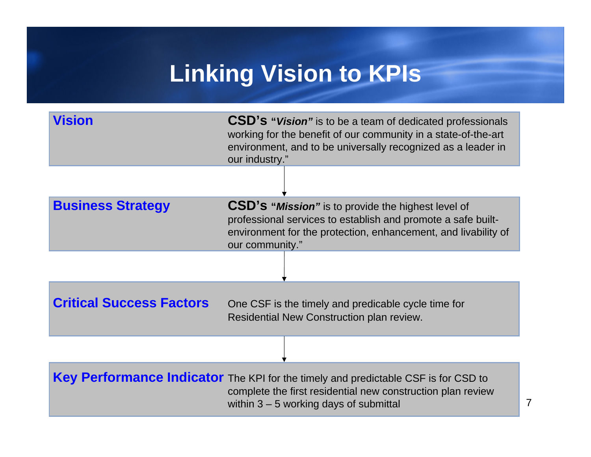# **Linking Vision to KPIs**

| <b>Vision</b>                   | <b>CSD's "Vision"</b> is to be a team of dedicated professionals<br>working for the benefit of our community in a state-of-the-art<br>environment, and to be universally recognized as a leader in<br>our industry." |
|---------------------------------|----------------------------------------------------------------------------------------------------------------------------------------------------------------------------------------------------------------------|
|                                 |                                                                                                                                                                                                                      |
| <b>Business Strategy</b>        | <b>CSD's "Mission"</b> is to provide the highest level of<br>professional services to establish and promote a safe built-<br>environment for the protection, enhancement, and livability of<br>our community."       |
|                                 |                                                                                                                                                                                                                      |
| <b>Critical Success Factors</b> | One CSF is the timely and predicable cycle time for<br>Residential New Construction plan review.                                                                                                                     |
|                                 |                                                                                                                                                                                                                      |
|                                 | Key Performance Indicator The KPI for the timely and predictable CSF is for CSD to<br>complete the first residential new construction plan review<br>within $3 - 5$ working days of submittal                        |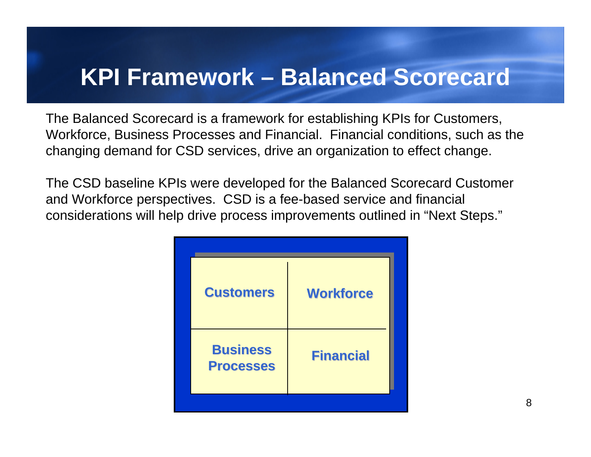#### **KPI Framework – Balanced Scorecard**

The Balanced Scorecard is a framework for establishing KPIs for Customers, Workforce, Business Processes and Financial. Financial conditions, such as the changing demand for CSD services, drive an organization to effect change.

The CSD baseline KPIs were developed for the Balanced Scorecard Customer and Workforce perspectives. CSD is a fee-based service and financial considerations will help drive process improvements outlined in "Next Steps."

| <b>Customers</b>                    | <b>Workforce</b> |  |
|-------------------------------------|------------------|--|
| <b>Business</b><br><b>Processes</b> | <b>Financial</b> |  |
|                                     |                  |  |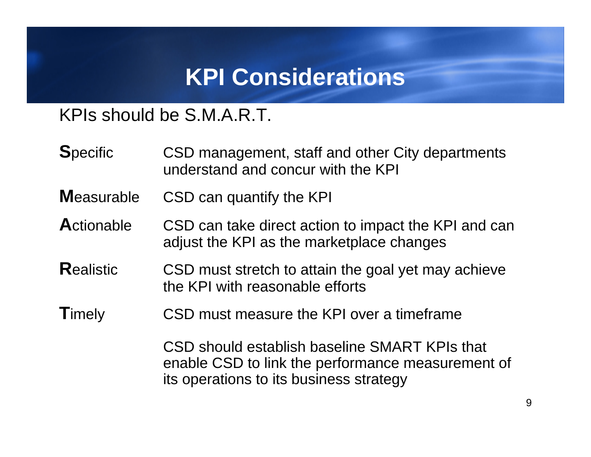### **KPI Considerations**

#### KPIs should be S.M.A.R.T.

- **S**pecific CSD management, staff and other City departments understand and concur with the KPI
- **M**easurable CSD can quantify the KPI
- **A**ctionable CSD can take direct action to impact the KPI and can adjust the KPI as the marketplace changes
- **Realistic** CSD must stretch to attain the goal yet may achieve the KPI with reasonable efforts
- **T**imely CSD must measure the KPI over a timeframe

CSD should establish baseline SMART KPIs that enable CSD to link the performance measurement of its operations to its business strategy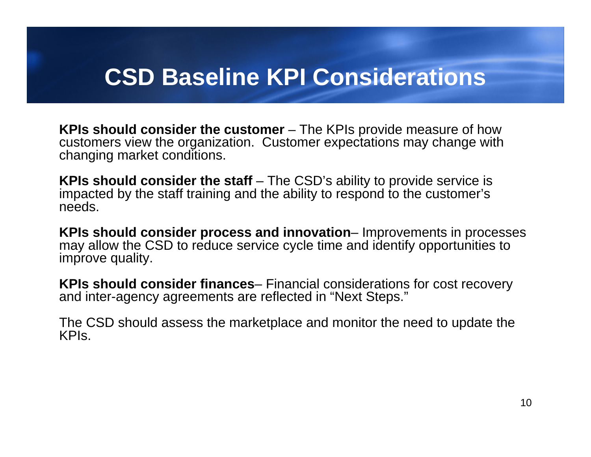#### **CSD Baseline KPI Considerations**

**KPIs should consider the customer** – The KPIs provide measure of how customers view the organization. Customer expectations may change with changing market conditions.

**KPIs should consider the staff** – The CSD's ability to provide service is impacted by the staff training and the ability to respond to the customer's needs.

**KPIs should consider process and innovation**– Improvements in processes may allow the CSD to reduce service cycle time and identify opportunities to improve quality.

**KPIs should consider finances**– Financial considerations for cost recovery and inter-agency agreements are reflected in "Next Steps."

The CSD should assess the marketplace and monitor the need to update the KPIs.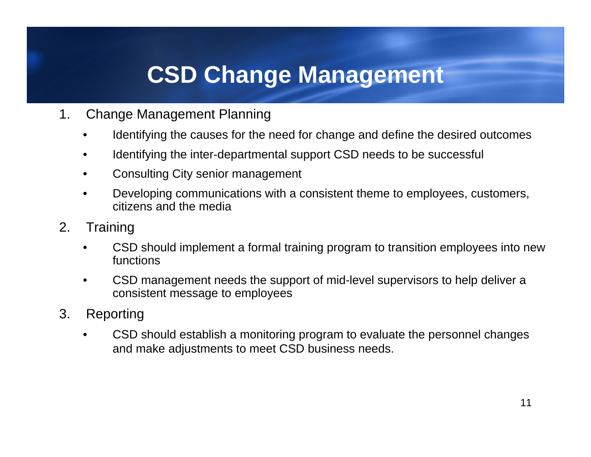### **CSD Change Management**

- 1. Change Management Planning
	- Identifying the causes for the need for change and define the desired outcomes
	- Identifying the inter-departmental support CSD needs to be successful
	- Consulting City senior management
	- Developing communications with a consistent theme to employees, customers, citizens and the media
- 2. Training
	- CSD should implement a formal training program to transition employees into new functions
	- CSD management needs the support of mid-level supervisors to help deliver a consistent message to employees
- 3. Reporting
	- CSD should establish a monitoring program to evaluate the personnel changes and make adjustments to meet CSD business needs.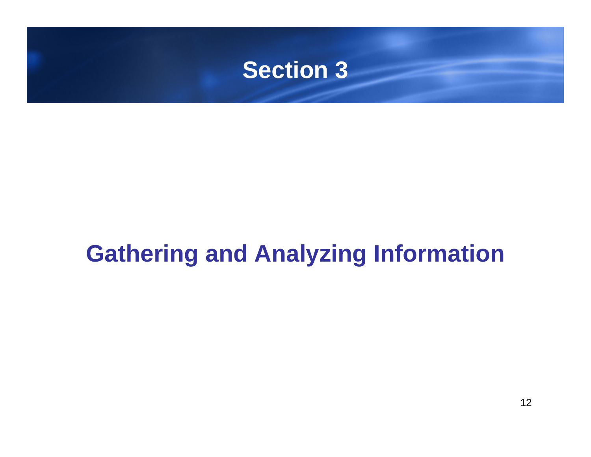

# **Gathering and Analyzing Information**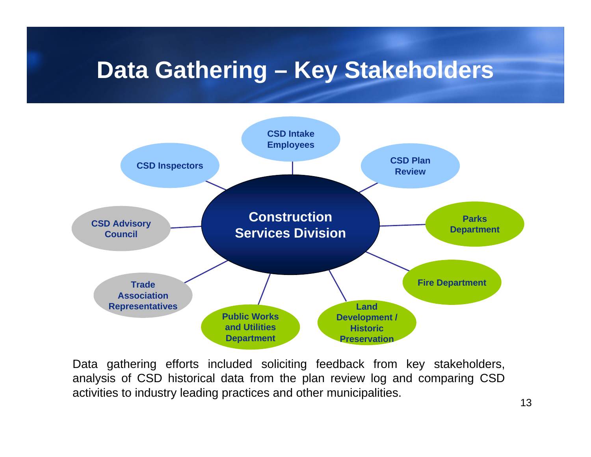### **Data Gathering – Key Stakeholders**



Data gathering efforts included soliciting feedback from key stakeholders, analysis of CSD historical data from the plan review log and comparing CSD activities to industry leading practices and other municipalities.<br>13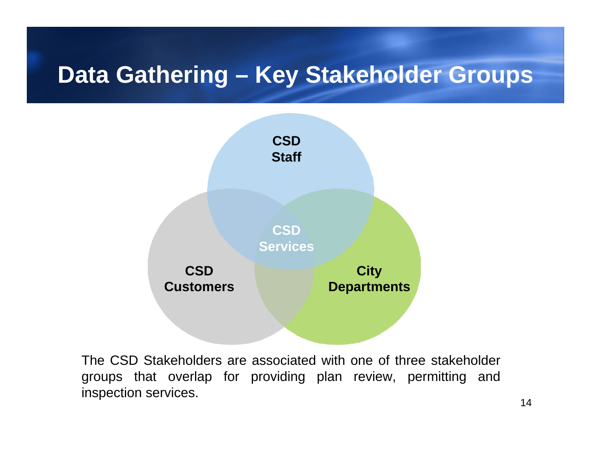### **Data Gathering – Key Stakeholder Groups**



The CSD Stakeholders are associated with one of three stakeholder groups that overlap for providing plan review, permitting and inspection services. 14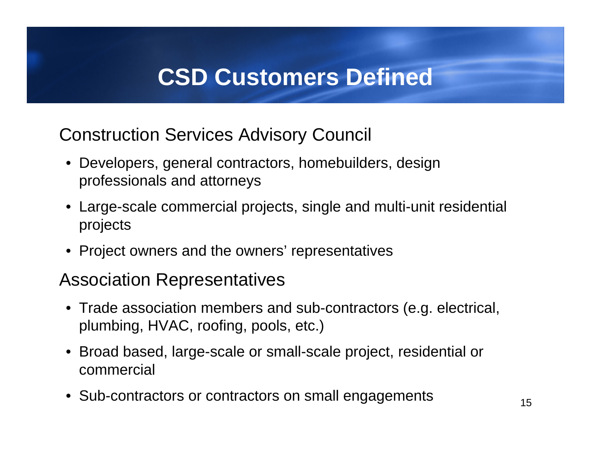### **CSD Customers Defined**

Construction Services Advisory Council

- Developers, general contractors, homebuilders, design professionals and attorneys
- Large-scale commercial projects, single and multi-unit residential projects
- Project owners and the owners' representatives

#### Association Representatives

- Trade association members and sub-contractors (e.g. electrical, plumbing, HVAC, roofing, pools, etc.)
- Broad based, large-scale or small-scale project, residential or commercial
- Sub-contractors or contractors on small engagements 15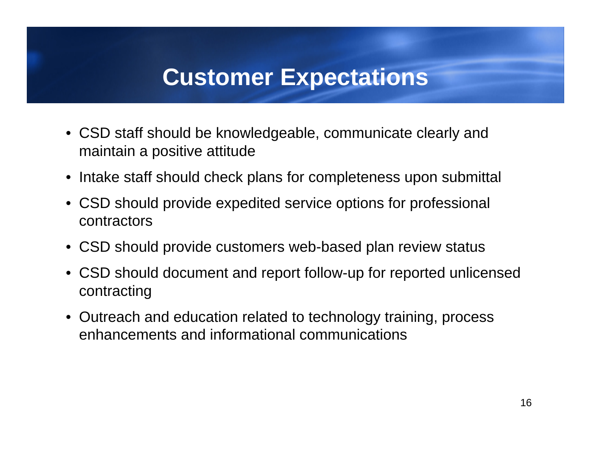### **Customer Expectations**

- CSD staff should be knowledgeable, communicate clearly and maintain a positive attitude
- Intake staff should check plans for completeness upon submittal
- CSD should provide expedited service options for professional contractors
- CSD should provide customers web-based plan review status
- CSD should document and report follow-up for reported unlicensed contracting
- Outreach and education related to technology training, process enhancements and informational communications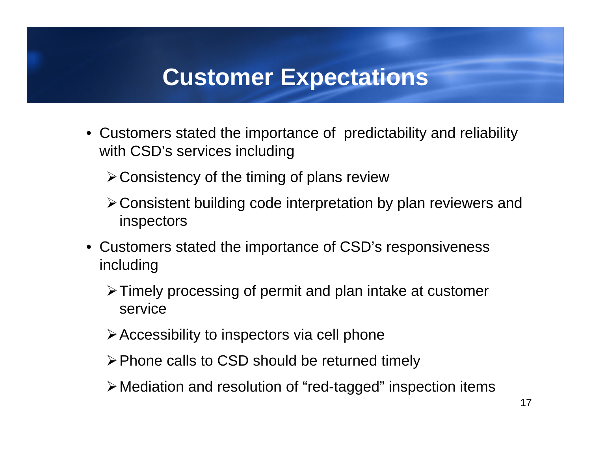#### **Customer Expectations**

• Customers stated the importance of predictability and reliability with CSD's services including

 $\triangleright$  Consistency of the timing of plans review

- ¾Consistent building code interpretation by plan reviewers and inspectors
- Customers stated the importance of CSD's responsiveness including
	- ¾Timely processing of permit and plan intake at customer service
	- $\triangleright$  Accessibility to inspectors via cell phone
	- ¾Phone calls to CSD should be returned timely
	- ¾Mediation and resolution of "red-tagged" inspection items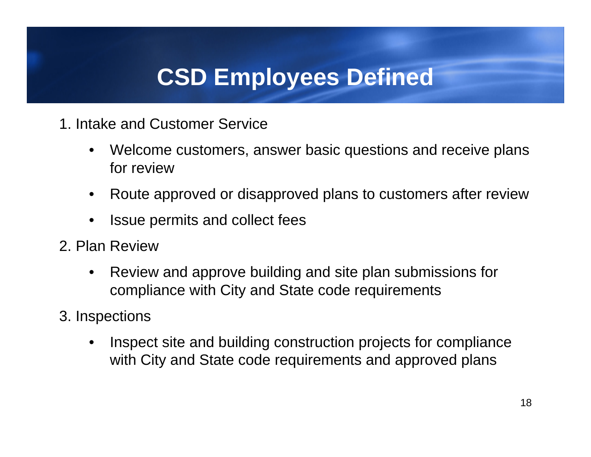## **CSD Employees Defined**

- 1. Intake and Customer Service
	- Welcome customers, answer basic questions and receive plans for review
	- Route approved or disapproved plans to customers after review
	- Issue permits and collect fees
- 2. Plan Review
	- Review and approve building and site plan submissions for compliance with City and State code requirements
- 3. Inspections
	- Inspect site and building construction projects for compliance with City and State code requirements and approved plans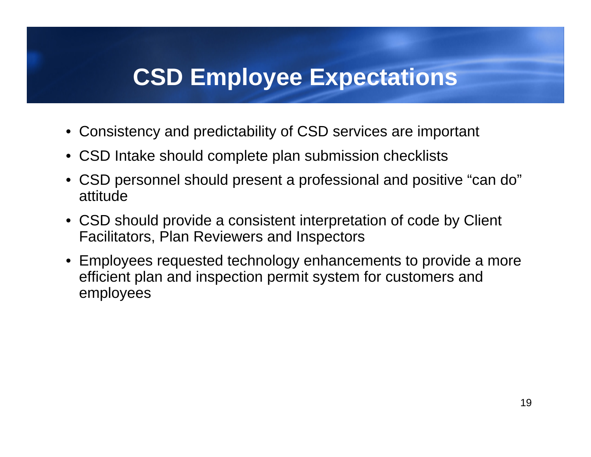### **CSD Employee Expectations**

- Consistency and predictability of CSD services are important
- CSD Intake should complete plan submission checklists
- CSD personnel should present a professional and positive "can do" attitude
- CSD should provide a consistent interpretation of code by Client Facilitators, Plan Reviewers and Inspectors
- Employees requested technology enhancements to provide a more efficient plan and inspection permit system for customers and employees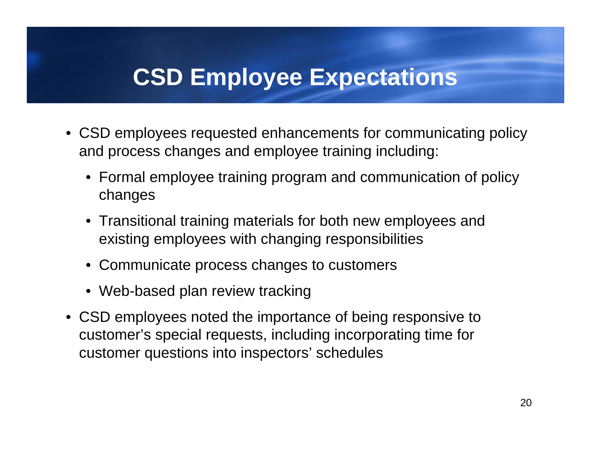### **CSD Employee Expectations**

- CSD employees requested enhancements for communicating policy and process changes and employee training including:
	- Formal employee training program and communication of policy changes
	- Transitional training materials for both new employees and existing employees with changing responsibilities
	- Communicate process changes to customers
	- Web-based plan review tracking
- CSD employees noted the importance of being responsive to customer's special requests, including incorporating time for customer questions into inspectors' schedules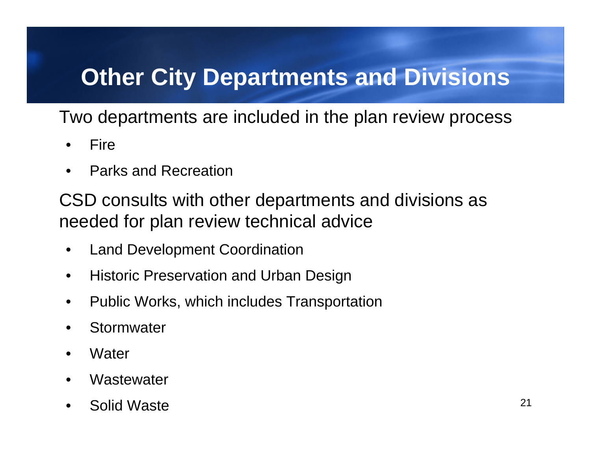# **Other City Departments and Divisions**

Two departments are included in the plan review process

- •**Fire**
- Parks and Recreation

CSD consults with other departments and divisions as needed for plan review technical advice

- Land Development Coordination
- Historic Preservation and Urban Design
- Public Works, which includes Transportation
- Stormwater
- **Water**
- **Wastewater**
- Solid Waste **21**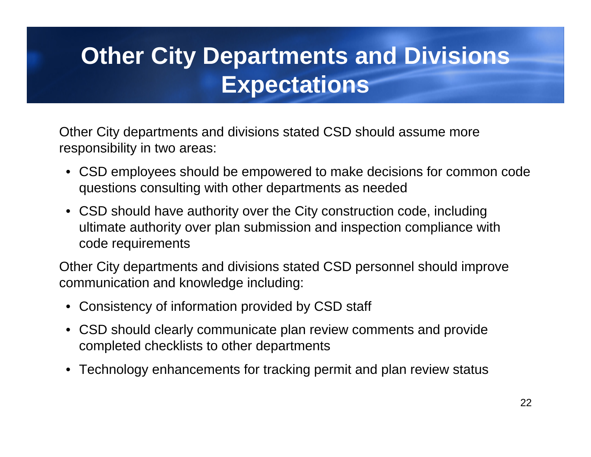# **Other City Departments and Divisions Expectations**

Other City departments and divisions stated CSD should assume more responsibility in two areas:

- CSD employees should be empowered to make decisions for common code questions consulting with other departments as needed
- CSD should have authority over the City construction code, including ultimate authority over plan submission and inspection compliance with code requirements

Other City departments and divisions stated CSD personnel should improve communication and knowledge including:

- Consistency of information provided by CSD staff
- CSD should clearly communicate plan review comments and provide completed checklists to other departments
- Technology enhancements for tracking permit and plan review status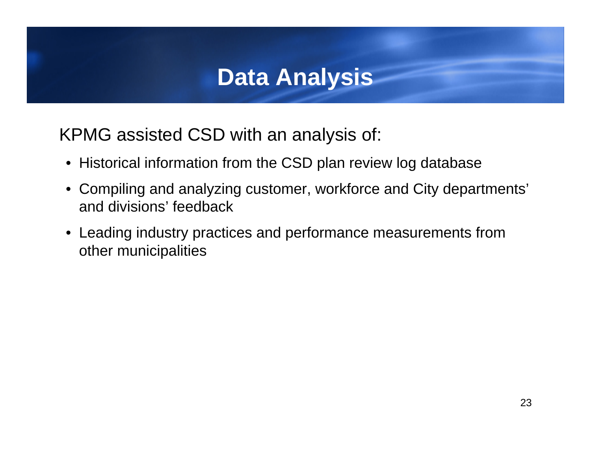### **Data Analysis**

KPMG assisted CSD with an analysis of:

- Historical information from the CSD plan review log database
- Compiling and analyzing customer, workforce and City departments' and divisions' feedback
- Leading industry practices and performance measurements from other municipalities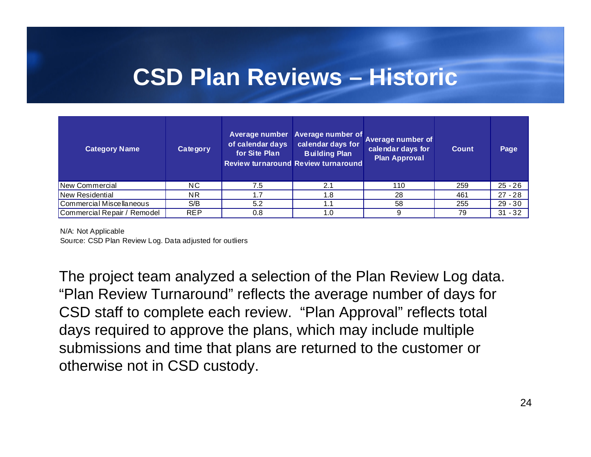#### **CSD Plan Reviews – Historic**

| <b>Category Name</b>        | Category       | of calendar days<br>for Site Plan | Average number Average number of<br>calendar days for<br><b>Building Plan</b><br><b>Review turnaround Review turnaround</b> | Average number of<br>calendar days for<br><b>Plan Approval</b> | <b>Count</b> | Page      |
|-----------------------------|----------------|-----------------------------------|-----------------------------------------------------------------------------------------------------------------------------|----------------------------------------------------------------|--------------|-----------|
| New Commercial              | NC.            | 7.5                               | 2.1                                                                                                                         | 110                                                            | 259          | $25 - 26$ |
| New Residential             | N <sub>R</sub> |                                   | ∣.8                                                                                                                         | 28                                                             | 461          | $27 - 28$ |
| Commercial Miscellaneous    | S/B            | 5.2                               |                                                                                                                             | 58                                                             | 255          | $29 - 30$ |
| Commercial Repair / Remodel | <b>REP</b>     | 0.8                               | . 0                                                                                                                         | 9                                                              | 79           | $31 - 32$ |

N/A: Not Applicable

Source: CSD Plan Review Log. Data adjusted for outliers

The project team analyzed a selection of the Plan Review Log data. "Plan Review Turnaround" reflects the average number of days for CSD staff to complete each review. "Plan Approval" reflects total days required to approve the plans, which may include multiple submissions and time that plans are returned to the customer or otherwise not in CSD custody.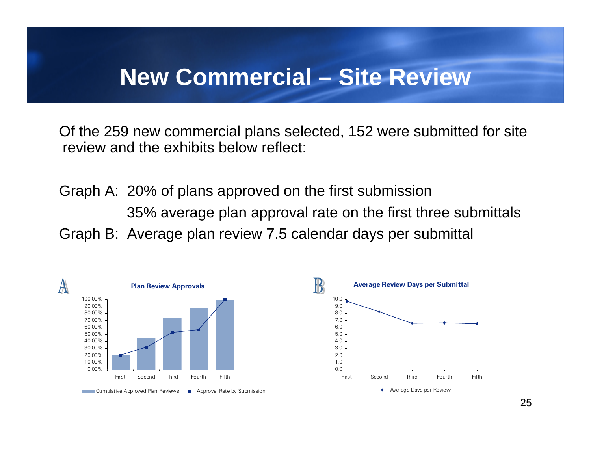#### **New Commercial – Site Review**

Of the 259 new commercial plans selected, 152 were submitted for site review and the exhibits below reflect:

Graph A: 20% of plans approved on the first submission 35% average plan approval rate on the first three submittals Graph B: Average plan review 7.5 calendar days per submittal

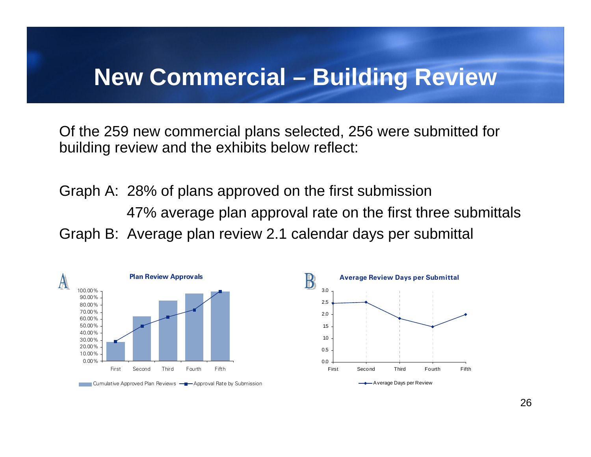#### **New Commercial – Building Review**

Of the 259 new commercial plans selected, 256 were submitted for building review and the exhibits below reflect:

Graph A: 28% of plans approved on the first submission 47% average plan approval rate on the first three submittals Graph B: Average plan review 2.1 calendar days per submittal

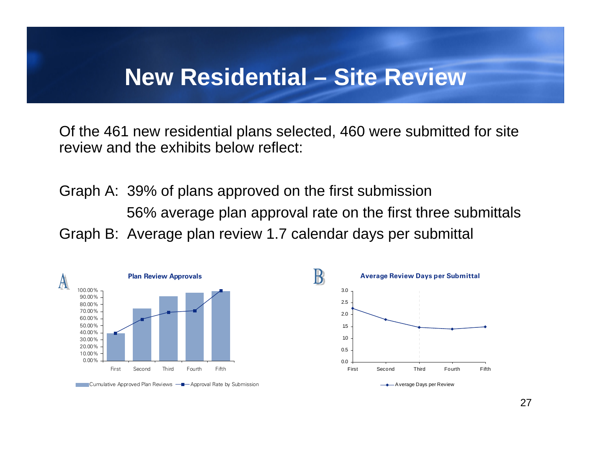#### **New Residential – Site Review**

Of the 461 new residential plans selected, 460 were submitted for site review and the exhibits below reflect:

Graph A: 39% of plans approved on the first submission 56% average plan approval rate on the first three submittals Graph B: Average plan review 1.7 calendar days per submittal



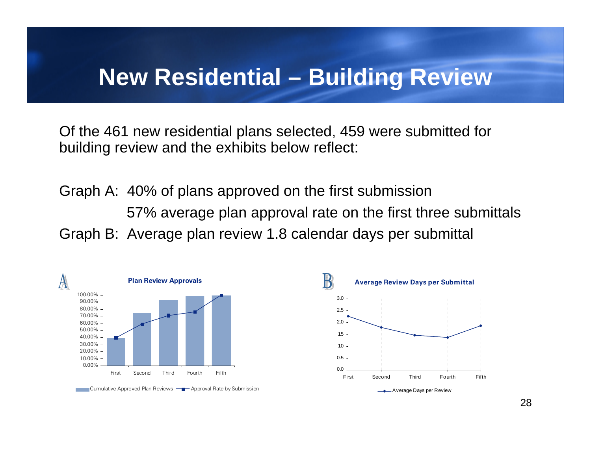#### **New Residential – Building Review**

Of the 461 new residential plans selected, 459 were submitted for building review and the exhibits below reflect:

Graph A: 40% of plans approved on the first submission 57% average plan approval rate on the first three submittals Graph B: Average plan review 1.8 calendar days per submittal



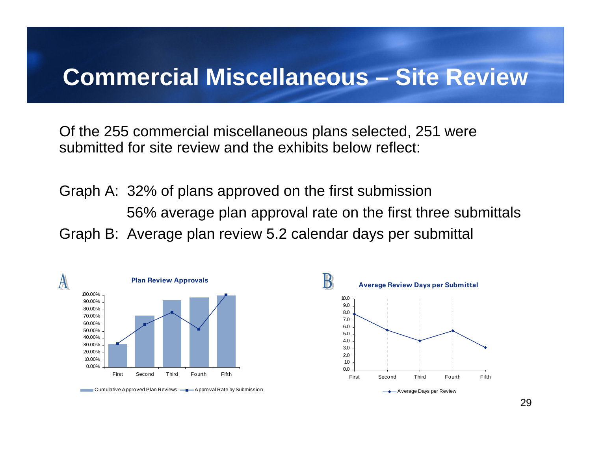#### **Commercial Miscellaneous – Site Review**

Of the 255 commercial miscellaneous plans selected, 251 were submitted for site review and the exhibits below reflect:

Graph A: 32% of plans approved on the first submission 56% average plan approval rate on the first three submittals Graph B: Average plan review 5.2 calendar days per submittal

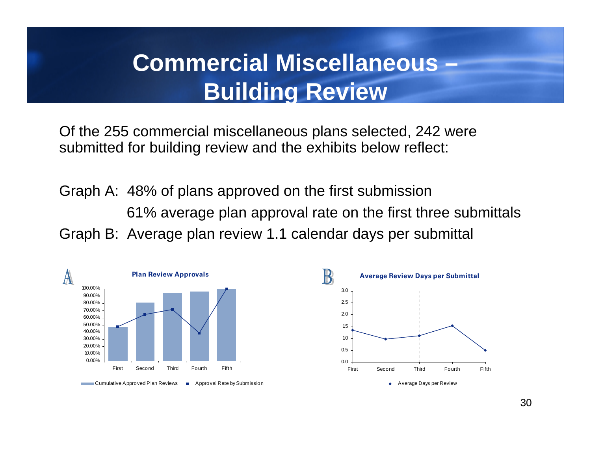### **Commercial Miscellaneous – Building Review**

Of the 255 commercial miscellaneous plans selected, 242 were submitted for building review and the exhibits below reflect:

Graph A: 48% of plans approved on the first submission 61% average plan approval rate on the first three submittals Graph B: Average plan review 1.1 calendar days per submittal



Cumulative Approved Plan Reviews  $\frac{a}{a}$  Approval Rate by Submission A verage Days per Review A verage Days per Review

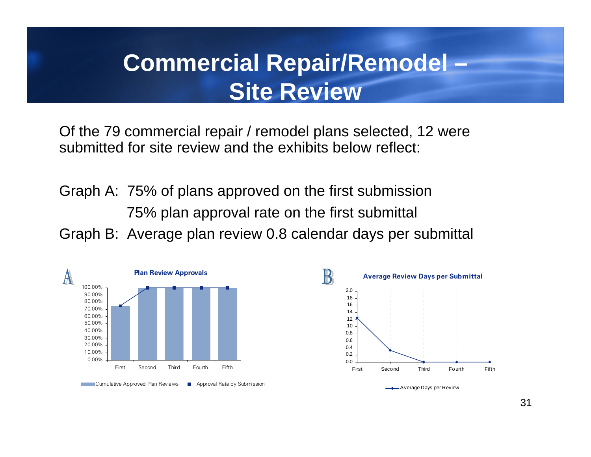### **Commercial Repair/Remodel – Site Review**

Of the 79 commercial repair / remodel plans selected, 12 were submitted for site review and the exhibits below reflect:

Graph A: 75% of plans approved on the first submission 75% plan approval rate on the first submittal Graph B: Average plan review 0.8 calendar days per submittal





31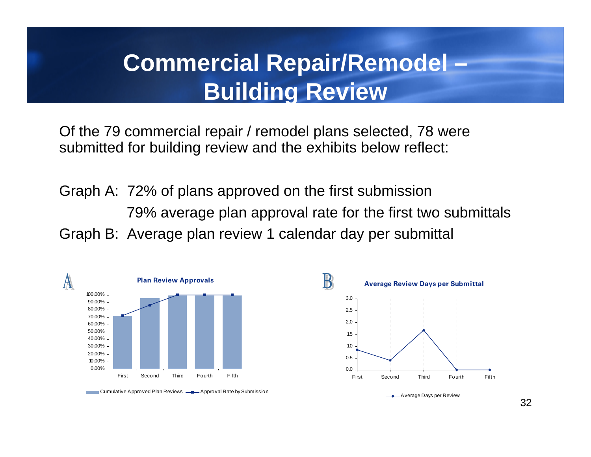### **Commercial Repair/Remodel – Building Review**

Of the 79 commercial repair / remodel plans selected, 78 were submitted for building review and the exhibits below reflect:

Graph A: 72% of plans approved on the first submission 79% average plan approval rate for the first two submittals Graph B: Average plan review 1 calendar day per submittal



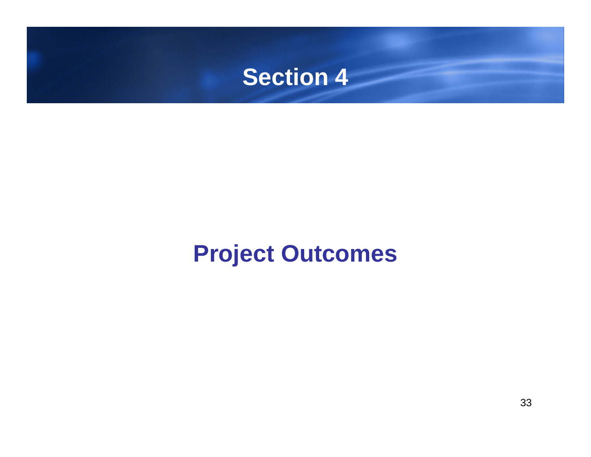### **Section 4**

# **Project Outcomes**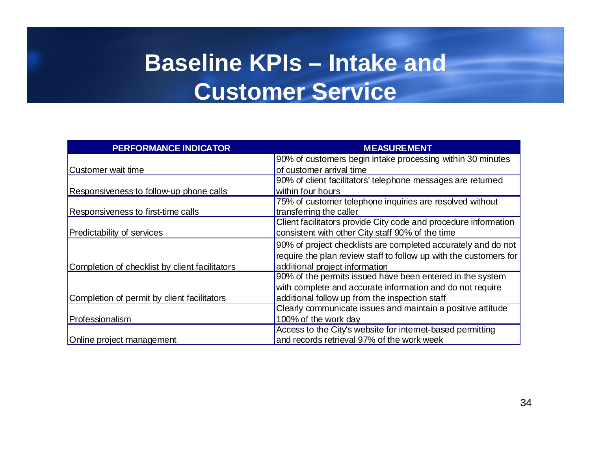# **Baseline KPIs – Intake and Customer Service**

| <b>PERFORMANCE INDICATOR</b>                   | <b>MEASUREMENT</b>                                                |
|------------------------------------------------|-------------------------------------------------------------------|
|                                                | 90% of customers begin intake processing within 30 minutes        |
| Customer wait time                             | of customer arrival time                                          |
|                                                | 90% of client facilitators' telephone messages are returned       |
| Responsiveness to follow-up phone calls        | within four hours                                                 |
|                                                | 75% of customer telephone inquiries are resolved without          |
| Responsiveness to first-time calls             | transferring the caller                                           |
|                                                | Client facilitators provide City code and procedure information   |
| <b>Predictability of services</b>              | consistent with other City staff 90% of the time                  |
|                                                | 90% of project checklists are completed accurately and do not     |
|                                                | require the plan review staff to follow up with the customers for |
| Completion of checklist by client facilitators | additional project information                                    |
|                                                | 90% of the permits issued have been entered in the system         |
|                                                | with complete and accurate information and do not require         |
| Completion of permit by dient facilitators     | additional follow up from the inspection staff                    |
|                                                | Clearly communicate issues and maintain a positive attitude       |
| Professionalism                                | 100% of the work day                                              |
|                                                | Access to the City's website for internet-based permitting        |
| Online project management                      | and records retrieval 97% of the work week                        |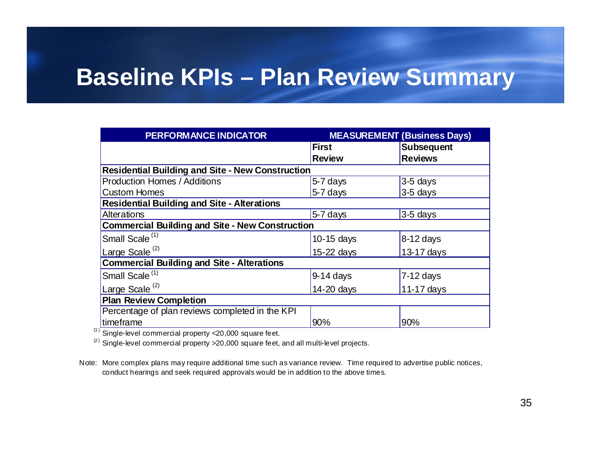#### **Baseline KPIs – Plan Review Summary**

| <b>PERFORMANCE INDICATOR</b>                            |                | <b>MEASUREMENT (Business Days)</b> |
|---------------------------------------------------------|----------------|------------------------------------|
|                                                         | <b>First</b>   | <b>Subsequent</b>                  |
|                                                         | <b>Review</b>  | <b>Reviews</b>                     |
| <b>Residential Building and Site - New Construction</b> |                |                                    |
| <b>Production Homes / Additions</b>                     | 5-7 days       | 3-5 days                           |
| <b>Custom Homes</b>                                     | 5-7 days       | 3-5 days                           |
| <b>Residential Building and Site - Alterations</b>      |                |                                    |
| Alterations                                             | 5-7 days       | $3-5$ days                         |
| <b>Commercial Building and Site - New Construction</b>  |                |                                    |
| Small Scale <sup>(1)</sup>                              | $10-15$ days   | 8-12 days                          |
| Large Scale <sup>(2)</sup>                              | $15 - 22$ days | 13-17 days                         |
| <b>Commercial Building and Site - Alterations</b>       |                |                                    |
| Small Scale <sup>(1)</sup>                              | $9-14$ days    | $7-12$ days                        |
| Large Scale <sup>(2)</sup>                              | $14 - 20$ days | 11-17 days                         |
| <b>Plan Review Completion</b>                           |                |                                    |
| Percentage of plan reviews completed in the KPI         |                |                                    |
| timeframe                                               | 90%            | 90%                                |

 $(1)$  Single-level commercial property <20,000 square feet.

 $(2)$  Single-level commercial property > 20,000 square feet, and all multi-level projects.

Note: More complex plans may require additional time such as variance review. Time required to advertise public notices, conduct hearings and seek required approvals would be in addition to the above times.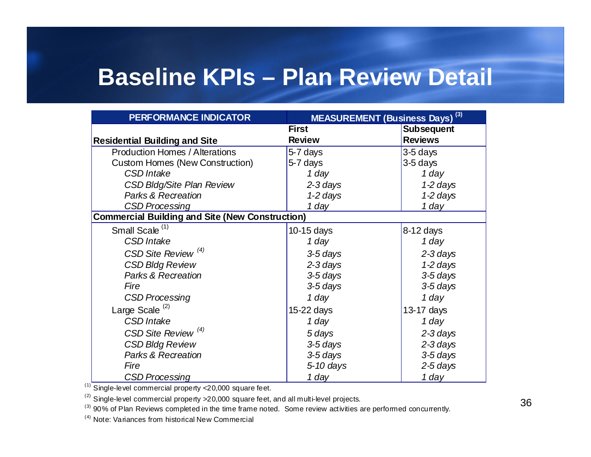#### **Baseline KPIs – Plan Review Detail**

| <b>PERFORMANCE INDICATOR</b>                           | <b>MEASUREMENT (Business Days)</b> <sup>(3)</sup> |                   |
|--------------------------------------------------------|---------------------------------------------------|-------------------|
|                                                        | <b>First</b>                                      | <b>Subsequent</b> |
| <b>Residential Building and Site</b>                   | <b>Review</b>                                     | <b>Reviews</b>    |
| <b>Production Homes / Alterations</b>                  | 5-7 days                                          | 3-5 days          |
| <b>Custom Homes (New Construction)</b>                 | 5-7 days                                          | 3-5 days          |
| <b>CSD</b> Intake                                      | 1 day                                             | 1 day             |
| <b>CSD Bldg/Site Plan Review</b>                       | 2-3 days                                          | $1-2$ days        |
| <b>Parks &amp; Recreation</b>                          | 1-2 days                                          | 1-2 days          |
| <b>CSD Processing</b>                                  | 1 day                                             | 1 day             |
| <b>Commercial Building and Site (New Construction)</b> |                                                   |                   |
| Small Scale <sup>(1)</sup>                             | 10-15 days                                        | 8-12 days         |
| <b>CSD</b> Intake                                      | 1 day                                             | 1 day             |
| CSD Site Review <sup>(4)</sup>                         | 3-5 days                                          | $2-3$ days        |
| <b>CSD Bldg Review</b>                                 | $2-3$ days                                        | $1-2$ days        |
| <b>Parks &amp; Recreation</b>                          | 3-5 days                                          | 3-5 days          |
| Fire                                                   | 3-5 days                                          | 3-5 days          |
| <b>CSD Processing</b>                                  | 1 day                                             | 1 day             |
| Large Scale <sup>(2)</sup>                             | 15-22 days                                        | 13-17 days        |
| <b>CSD</b> Intake                                      | 1 day                                             | 1 day             |
| CSD Site Review <sup>(4)</sup>                         | 5 days                                            | $2-3$ days        |
| <b>CSD Bldg Review</b>                                 | 3-5 days                                          | $2-3$ days        |
| <b>Parks &amp; Recreation</b>                          | 3-5 days                                          | 3-5 days          |
| Fire                                                   | 5-10 days                                         | 2-5 days          |
| <b>CSD Processing</b>                                  | 1 day                                             | 1 day             |

(1) Single-level commercial property <20,000 square feet.

 $(2)$  Single-level commercial property > 20,000 square feet, and all multi-level projects.

 $\frac{1}{3}$  Single-level commercial property >20,000 square feet, and all multi-level projects.<br><sup>(3)</sup> 90% of Plan Reviews completed in the time frame noted. Some review activities are performed concurrently.

 $(4)$  Note: Variances from historical New Commercial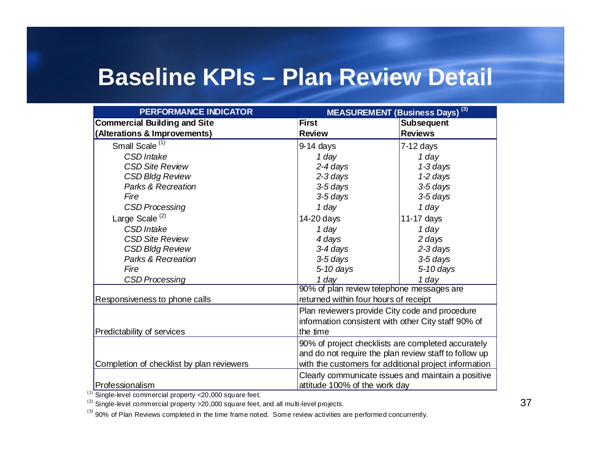#### **Baseline KPIs – Plan Review Detail**

| <b>PERFORMANCE INDICATOR</b>              | MEASUREMENT (Business Days) <sup>(3)</sup>            |                   |  |
|-------------------------------------------|-------------------------------------------------------|-------------------|--|
| <b>Commercial Building and Site</b>       | <b>First</b>                                          | <b>Subsequent</b> |  |
| (Alterations & Improvements)              | <b>Review</b>                                         | <b>Reviews</b>    |  |
| Small Scale <sup>(1)</sup>                | $9-14$ days                                           | $7-12$ days       |  |
| CSD Intake                                | 1 day                                                 | 1 day             |  |
| <b>CSD Site Review</b>                    | 2-4 days                                              | 1-3 days          |  |
| <b>CSD Bldg Review</b>                    | 2-3 days                                              | 1-2 days          |  |
| Parks & Recreation                        | 3-5 days                                              | 3-5 days          |  |
| Fire                                      | 3-5 days                                              | 3-5 days          |  |
| <b>CSD Processing</b>                     | 1 day                                                 | 1 day             |  |
| Large Scale <sup>(2)</sup>                | 14-20 days                                            | 11-17 days        |  |
| <b>CSD</b> Intake                         | 1 day                                                 | 1 day             |  |
| <b>CSD Site Review</b>                    | 4 days                                                | 2 days            |  |
| <b>CSD Bldg Review</b>                    | 3-4 days                                              | $2-3$ days        |  |
| Parks & Recreation                        | 3-5 days                                              | 3-5 days          |  |
| Fire                                      | 5-10 days                                             | 5-10 days         |  |
| <b>CSD Processing</b>                     | 1 day                                                 | 1 day             |  |
|                                           | 90% of plan review telephone messages are             |                   |  |
| Responsiveness to phone calls             | returned within four hours of receipt                 |                   |  |
|                                           | Plan reviewers provide City code and procedure        |                   |  |
|                                           | information consistent with other City staff 90% of   |                   |  |
| Predictability of services                | the time                                              |                   |  |
|                                           | 90% of project checklists are completed accurately    |                   |  |
|                                           | and do not require the plan review staff to follow up |                   |  |
| Completion of checklist by plan reviewers | with the customers for additional project information |                   |  |
|                                           | Clearly communicate issues and maintain a positive    |                   |  |
| Professionalism                           | attitude 100% of the work day                         |                   |  |

(1) Single-level commercial property <20,000 square feet.

(2) Single-level commercial property  $>20,000$  square feet, and all multi-level projects.  $\overline{37}$ 

(3) 90% of Plan Reviews completed in the time frame noted. Some review activities are performed concurrently.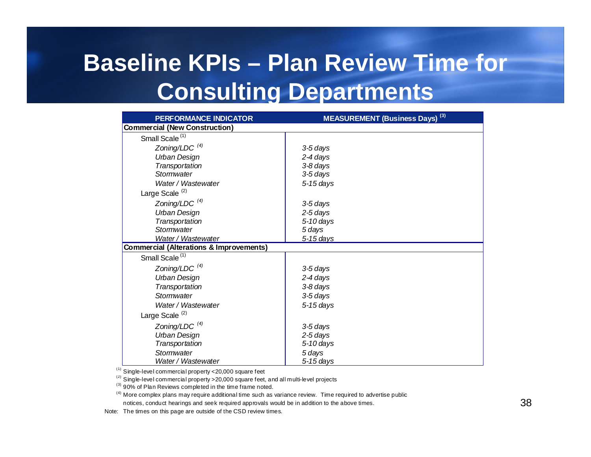## **Baseline KPIs – Plan Review Time for Consulting Departments**

| <b>PERFORMANCE INDICATOR</b>                       | <b>MEASUREMENT (Business Days)</b> <sup>(3)</sup> |
|----------------------------------------------------|---------------------------------------------------|
| <b>Commercial (New Construction)</b>               |                                                   |
| Small Scale <sup>(1)</sup>                         |                                                   |
| Zoning/LDC $(4)$                                   | 3-5 days                                          |
| <b>Urban Design</b>                                | 2-4 days                                          |
| Transportation                                     | 3-8 days                                          |
| Stormwater                                         | 3-5 days                                          |
| Water / Wastewater                                 | $5-15$ days                                       |
| Large Scale <sup>(2)</sup>                         |                                                   |
| Zoning/LDC $(4)$                                   | 3-5 days                                          |
| <b>Urban Design</b>                                | 2-5 days                                          |
| Transportation                                     | 5-10 days                                         |
| Stormwater                                         | 5 days                                            |
| Water / Wastewater                                 | 5-15 days                                         |
| <b>Commercial (Alterations &amp; Improvements)</b> |                                                   |
| Small Scale <sup>(1)</sup>                         |                                                   |
| Zoning/LDC $(4)$                                   | 3-5 days                                          |
| <b>Urban Design</b>                                | 2-4 days                                          |
| Transportation                                     | 3-8 days                                          |
| Stormwater                                         | 3-5 days                                          |
| Water / Wastewater                                 | $5-15$ days                                       |
| Large Scale <sup>(2)</sup>                         |                                                   |
| Zoning/LDC $(4)$                                   | 3-5 davs                                          |
| Urban Design                                       | 2-5 days                                          |
| Transportation                                     | $5-10$ days                                       |
| Stormwater                                         | 5 days                                            |
| Water / Wastewater                                 | $5-15$ days                                       |

 $(1)$  Single-level commercial property <20,000 square feet

 $(2)$  Single-level commercial property > 20,000 square feet, and all multi-level projects

 $^{(3)}$  90% of Plan Reviews completed in the time frame noted.

<sup>(4)</sup> More complex plans may require additional time such as variance review. Time required to advertise public notices, conduct hearings and seek required app rovals would be in addition to the above times.

Note: The times on this page are outside of the CSD review times.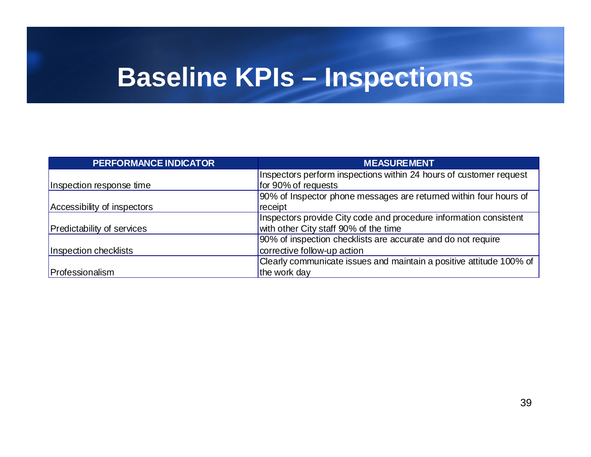# **Baseline KPIs – Inspections**

| PERFORMANCE INDICATOR       | <b>MEASUREMENT</b>                                                                        |
|-----------------------------|-------------------------------------------------------------------------------------------|
| Inspection response time    | Inspectors perform inspections within 24 hours of customer request<br>for 90% of requests |
| Accessibility of inspectors | 90% of Inspector phone messages are returned within four hours of<br>receipt              |
|                             | Inspectors provide City code and procedure information consistent                         |
| Predictability of services  | with other City staff 90% of the time                                                     |
|                             | 90% of inspection checklists are accurate and do not require                              |
| Inspection checklists       | corrective follow-up action                                                               |
|                             | Clearly communicate issues and maintain a positive attitude 100% of                       |
| Professionalism             | the work day                                                                              |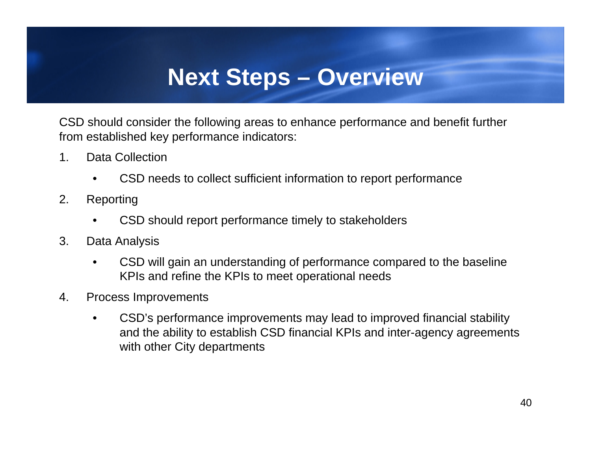### **Next Steps – Overview**

CSD should consider the following areas to enhance performance and benefit further from established key performance indicators:

- 1. Data Collection
	- CSD needs to collect sufficient information to report performance
- 2. Reporting
	- CSD should report performance timely to stakeholders
- 3. Data Analysis
	- CSD will gain an understanding of performance compared to the baseline KPIs and refine the KPIs to meet operational needs
- 4. Process Improvements
	- CSD's performance improvements may lead to improved financial stability and the ability to establish CSD financial KPIs and inter-agency agreements with other City departments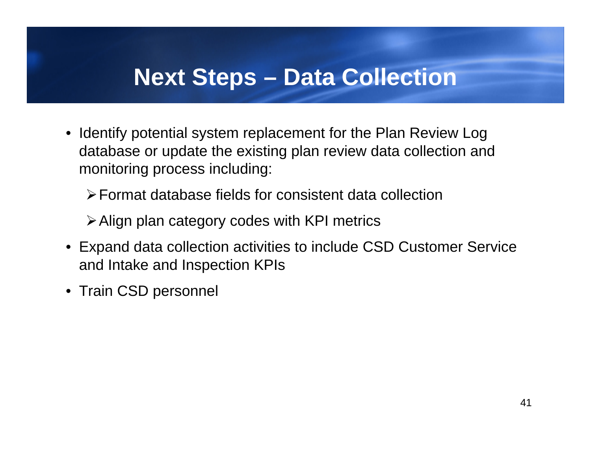### **Next Steps – Data Collection**

- Identify potential system replacement for the Plan Review Log database or update the existing plan review data collection and monitoring process including:
	- ¾Format database fields for consistent data collection
	- ¾Align plan category codes with KPI metrics
- Expand data collection activities to include CSD Customer Service and Intake and Inspection KPIs
- Train CSD personnel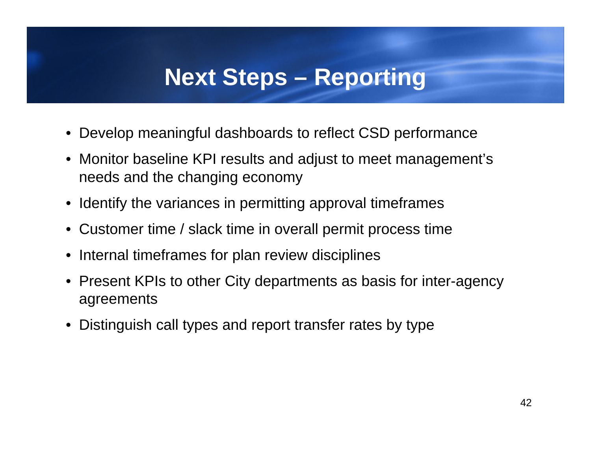### **Next Steps – Reporting**

- Develop meaningful dashboards to reflect CSD performance
- Monitor baseline KPI results and adjust to meet management's needs and the changing economy
- Identify the variances in permitting approval timeframes
- Customer time / slack time in overall permit process time
- Internal timeframes for plan review disciplines
- Present KPIs to other City departments as basis for inter-agency agreements
- Distinguish call types and report transfer rates by type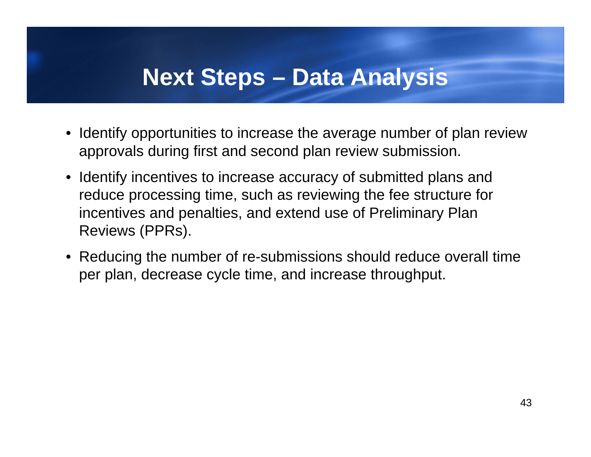#### **Next Steps – Data Analysis**

- Identify opportunities to increase the average number of plan review approvals during first and second plan review submission.
- Identify incentives to increase accuracy of submitted plans and reduce processing time, such as reviewing the fee structure for incentives and penalties, and extend use of Preliminary Plan Reviews (PPRs).
- Reducing the number of re-submissions should reduce overall time per plan, decrease cycle time, and increase throughput.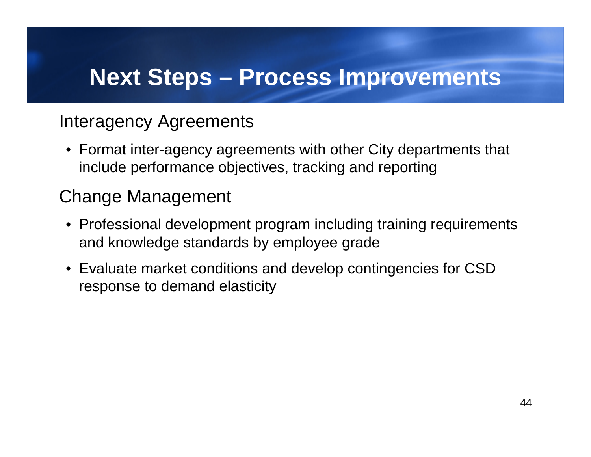### **Next Steps – Process Improvements**

#### Interagency Agreements

• Format inter-agency agreements with other City departments that include performance objectives, tracking and reporting

#### Change Management

- Professional development program including training requirements and knowledge standards by employee grade
- Evaluate market conditions and develop contingencies for CSD response to demand elasticity